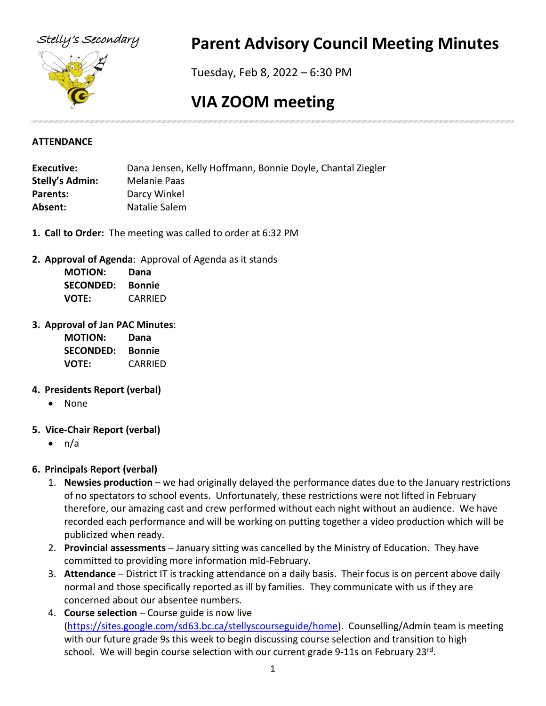

# Stelly's Secondary **Parent Advisory Council Meeting Minutes**

Tuesday, Feb 8, 2022 – 6:30 PM

# **VIA ZOOM meeting**

## **ATTENDANCE**

| Executive:             | Dana Jensen, Kelly Hoffmann, Bonnie Doyle, Chantal Ziegler |  |
|------------------------|------------------------------------------------------------|--|
| <b>Stelly's Admin:</b> | Melanie Paas                                               |  |
| Parents:               | Darcy Winkel                                               |  |
| Absent:                | Natalie Salem                                              |  |
|                        |                                                            |  |

- **1. Call to Order:** The meeting was called to order at 6:32 PM
- **2. Approval of Agenda**: Approval of Agenda as it stands

| <b>MOTION:</b>   | Dana          |
|------------------|---------------|
| <b>SECONDED:</b> | <b>Bonnie</b> |
| VOTE:            | CARRIED       |

# **3. Approval of Jan PAC Minutes**:

| <b>MOTION:</b>   | Dana    |
|------------------|---------|
| <b>SECONDED:</b> | Bonnie  |
| <b>VOTE:</b>     | CARRIED |

# **4. Presidents Report (verbal)**

- None
- **5. Vice-Chair Report (verbal)**
	- $\bullet$  n/a

# **6. Principals Report (verbal)**

- 1. **Newsies production**  we had originally delayed the performance dates due to the January restrictions of no spectators to school events. Unfortunately, these restrictions were not lifted in February therefore, our amazing cast and crew performed without each night without an audience. We have recorded each performance and will be working on putting together a video production which will be publicized when ready.
- 2. **Provincial assessments** January sitting was cancelled by the Ministry of Education. They have committed to providing more information mid-February.
- 3. **Attendance** District IT is tracking attendance on a daily basis. Their focus is on percent above daily normal and those specifically reported as ill by families. They communicate with us if they are concerned about our absentee numbers.
- 4. **Course selection**  Course guide is now live [\(https://sites.google.com/sd63.bc.ca/stellyscourseguide/home\)](https://sites.google.com/sd63.bc.ca/stellyscourseguide/home). Counselling/Admin team is meeting with our future grade 9s this week to begin discussing course selection and transition to high school. We will begin course selection with our current grade 9-11s on February  $23^{rd}$ .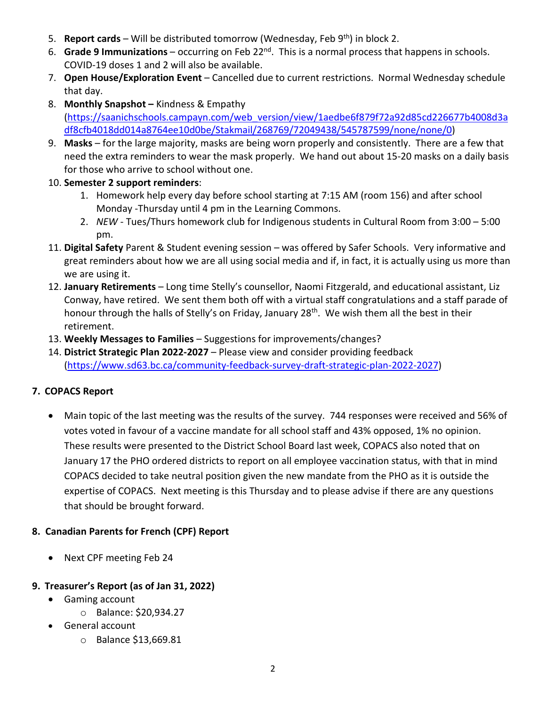- 5. **Report cards** Will be distributed tomorrow (Wednesday, Feb 9th) in block 2.
- 6. **Grade 9 Immunizations** occurring on Feb 22nd. This is a normal process that happens in schools. COVID-19 doses 1 and 2 will also be available.
- 7. **Open House/Exploration Event** Cancelled due to current restrictions. Normal Wednesday schedule that day.
- 8. **Monthly Snapshot –** Kindness & Empathy [\(https://saanichschools.campayn.com/web\\_version/view/1aedbe6f879f72a92d85cd226677b4008d3a](https://saanichschools.campayn.com/web_version/view/1aedbe6f879f72a92d85cd226677b4008d3adf8cfb4018dd014a8764ee10d0be/Stakmail/268769/72049438/545787599/none/none/0) [df8cfb4018dd014a8764ee10d0be/Stakmail/268769/72049438/545787599/none/none/0\)](https://saanichschools.campayn.com/web_version/view/1aedbe6f879f72a92d85cd226677b4008d3adf8cfb4018dd014a8764ee10d0be/Stakmail/268769/72049438/545787599/none/none/0)
- 9. **Masks** for the large majority, masks are being worn properly and consistently. There are a few that need the extra reminders to wear the mask properly. We hand out about 15-20 masks on a daily basis for those who arrive to school without one.
- 10. **Semester 2 support reminders**:
	- 1. Homework help every day before school starting at 7:15 AM (room 156) and after school Monday -Thursday until 4 pm in the Learning Commons.
	- 2. *NEW* Tues/Thurs homework club for Indigenous students in Cultural Room from 3:00 5:00 pm.
- 11. **Digital Safety** Parent & Student evening session was offered by Safer Schools. Very informative and great reminders about how we are all using social media and if, in fact, it is actually using us more than we are using it.
- 12. **January Retirements**  Long time Stelly's counsellor, Naomi Fitzgerald, and educational assistant, Liz Conway, have retired. We sent them both off with a virtual staff congratulations and a staff parade of honour through the halls of Stelly's on Friday, January 28<sup>th</sup>. We wish them all the best in their retirement.
- 13. **Weekly Messages to Families** Suggestions for improvements/changes?
- 14. **District Strategic Plan 2022-2027** Please view and consider providing feedback [\(https://www.sd63.bc.ca/community-feedback-survey-draft-strategic-plan-2022-2027\)](https://www.sd63.bc.ca/community-feedback-survey-draft-strategic-plan-2022-2027)

# **7. COPACS Report**

• Main topic of the last meeting was the results of the survey. 744 responses were received and 56% of votes voted in favour of a vaccine mandate for all school staff and 43% opposed, 1% no opinion. These results were presented to the District School Board last week, COPACS also noted that on January 17 the PHO ordered districts to report on all employee vaccination status, with that in mind COPACS decided to take neutral position given the new mandate from the PHO as it is outside the expertise of COPACS. Next meeting is this Thursday and to please advise if there are any questions that should be brought forward.

# **8. Canadian Parents for French (CPF) Report**

• Next CPF meeting Feb 24

# **9. Treasurer's Report (as of Jan 31, 2022)**

- Gaming account
	- o Balance: \$20,934.27
- General account
	- o Balance \$13,669.81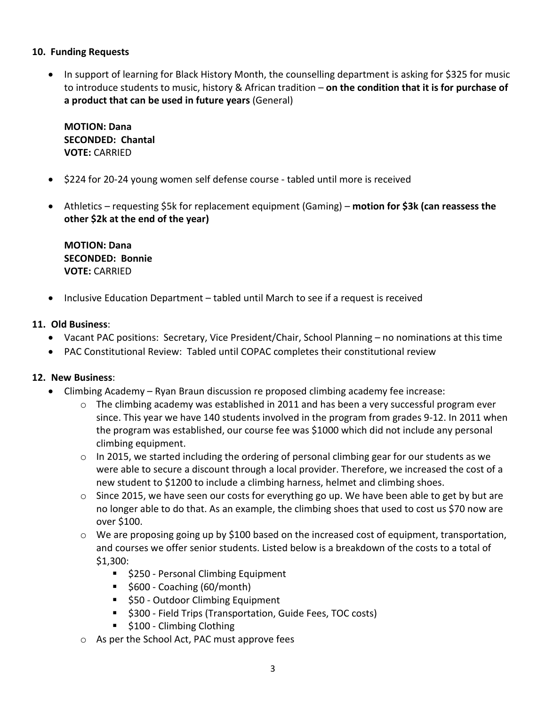### **10. Funding Requests**

• In support of learning for Black History Month, the counselling department is asking for \$325 for music to introduce students to music, history & African tradition – **on the condition that it is for purchase of a product that can be used in future years** (General)

**MOTION: Dana SECONDED: Chantal VOTE:** CARRIED

- \$224 for 20-24 young women self defense course tabled until more is received
- Athletics requesting \$5k for replacement equipment (Gaming) **motion for \$3k (can reassess the other \$2k at the end of the year)**

**MOTION: Dana SECONDED: Bonnie VOTE:** CARRIED

• Inclusive Education Department – tabled until March to see if a request is received

# **11. Old Business**:

- Vacant PAC positions: Secretary, Vice President/Chair, School Planning no nominations at this time
- PAC Constitutional Review: Tabled until COPAC completes their constitutional review

# **12. New Business**:

- Climbing Academy Ryan Braun discussion re proposed climbing academy fee increase:
	- $\circ$  The climbing academy was established in 2011 and has been a very successful program ever since. This year we have 140 students involved in the program from grades 9-12. In 2011 when the program was established, our course fee was \$1000 which did not include any personal climbing equipment.
	- $\circ$  In 2015, we started including the ordering of personal climbing gear for our students as we were able to secure a discount through a local provider. Therefore, we increased the cost of a new student to \$1200 to include a climbing harness, helmet and climbing shoes.
	- $\circ$  Since 2015, we have seen our costs for everything go up. We have been able to get by but are no longer able to do that. As an example, the climbing shoes that used to cost us \$70 now are over \$100.
	- $\circ$  We are proposing going up by \$100 based on the increased cost of equipment, transportation, and courses we offer senior students. Listed below is a breakdown of the costs to a total of \$1,300:
		- **5250 Personal Climbing Equipment**
		- $\overline{\phantom{a}}$  \$600 Coaching (60/month)
		- **550 Outdoor Climbing Equipment**
		- $\blacksquare$  \$300 Field Trips (Transportation, Guide Fees, TOC costs)
		- **5100 Climbing Clothing**
	- o As per the School Act, PAC must approve fees